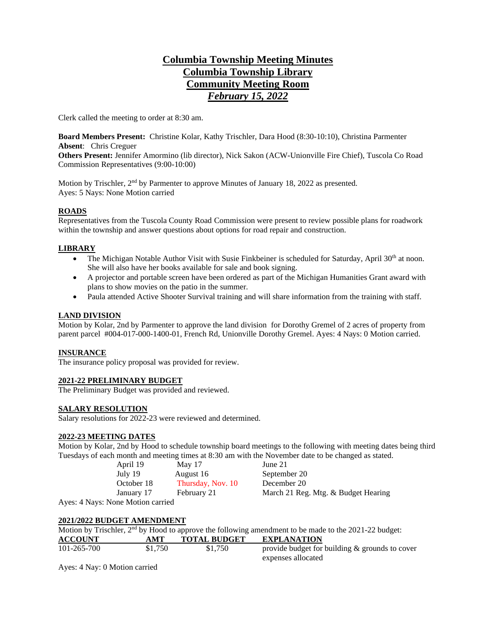# **Columbia Township Meeting Minutes Columbia Township Library Community Meeting Room** *February 15, 2022*

Clerk called the meeting to order at 8:30 am.

**Board Members Present:** Christine Kolar, Kathy Trischler, Dara Hood (8:30-10:10), Christina Parmenter **Absent**: Chris Creguer

**Others Present:** Jennifer Amormino (lib director), Nick Sakon (ACW-Unionville Fire Chief), Tuscola Co Road Commission Representatives (9:00-10:00)

Motion by Trischler, 2<sup>nd</sup> by Parmenter to approve Minutes of January 18, 2022 as presented. Ayes: 5 Nays: None Motion carried

### **ROADS**

Representatives from the Tuscola County Road Commission were present to review possible plans for roadwork within the township and answer questions about options for road repair and construction.

#### **LIBRARY**

- The Michigan Notable Author Visit with Susie Finkbeiner is scheduled for Saturday, April 30<sup>th</sup> at noon. She will also have her books available for sale and book signing.
- A projector and portable screen have been ordered as part of the Michigan Humanities Grant award with plans to show movies on the patio in the summer.
- Paula attended Active Shooter Survival training and will share information from the training with staff.

#### **LAND DIVISION**

Motion by Kolar, 2nd by Parmenter to approve the land division for Dorothy Gremel of 2 acres of property from parent parcel #004-017-000-1400-01, French Rd, Unionville Dorothy Gremel. Ayes: 4 Nays: 0 Motion carried.

#### **INSURANCE**

The insurance policy proposal was provided for review.

## **2021-22 PRELIMINARY BUDGET**

The Preliminary Budget was provided and reviewed.

#### **SALARY RESOLUTION**

Salary resolutions for 2022-23 were reviewed and determined.

#### **2022-23 MEETING DATES**

Motion by Kolar, 2nd by Hood to schedule township board meetings to the following with meeting dates being third Tuesdays of each month and meeting times at 8:30 am with the November date to be changed as stated.

| April 19                | May 17            | June $21$                           |
|-------------------------|-------------------|-------------------------------------|
| July 19                 | August 16         | September 20                        |
| October 18              | Thursday, Nov. 10 | December 20                         |
| January 17              | February 21       | March 21 Reg. Mtg. & Budget Hearing |
| vs: None Motion carried |                   |                                     |

expenses allocated

Ayes: 4 Nay

## **2021/2022 BUDGET AMENDMENT**

Motion by Trischler, 2<sup>nd</sup> by Hood to approve the following amendment to be made to the 2021-22 budget: **ACCOUNT AMT TOTAL BUDGET EXPLANATION** 101-265-700 \$1,750 \$1,750 provide budget for building & grounds to cover

Ayes: 4 Nay: 0 Motion carried